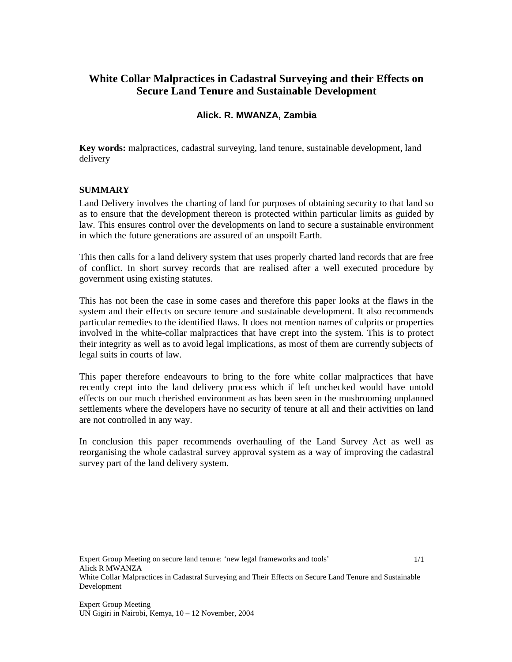# **White Collar Malpractices in Cadastral Surveying and their Effects on Secure Land Tenure and Sustainable Development**

## **Alick. R. MWANZA, Zambia**

**Key words:** malpractices, cadastral surveying, land tenure, sustainable development, land delivery

### **SUMMARY**

Land Delivery involves the charting of land for purposes of obtaining security to that land so as to ensure that the development thereon is protected within particular limits as guided by law. This ensures control over the developments on land to secure a sustainable environment in which the future generations are assured of an unspoilt Earth.

This then calls for a land delivery system that uses properly charted land records that are free of conflict. In short survey records that are realised after a well executed procedure by government using existing statutes.

This has not been the case in some cases and therefore this paper looks at the flaws in the system and their effects on secure tenure and sustainable development. It also recommends particular remedies to the identified flaws. It does not mention names of culprits or properties involved in the white-collar malpractices that have crept into the system. This is to protect their integrity as well as to avoid legal implications, as most of them are currently subjects of legal suits in courts of law.

This paper therefore endeavours to bring to the fore white collar malpractices that have recently crept into the land delivery process which if left unchecked would have untold effects on our much cherished environment as has been seen in the mushrooming unplanned settlements where the developers have no security of tenure at all and their activities on land are not controlled in any way.

In conclusion this paper recommends overhauling of the Land Survey Act as well as reorganising the whole cadastral survey approval system as a way of improving the cadastral survey part of the land delivery system.

Expert Group Meeting on secure land tenure: 'new legal frameworks and tools' Alick R MWANZA White Collar Malpractices in Cadastral Surveying and Their Effects on Secure Land Tenure and Sustainable Development 1/1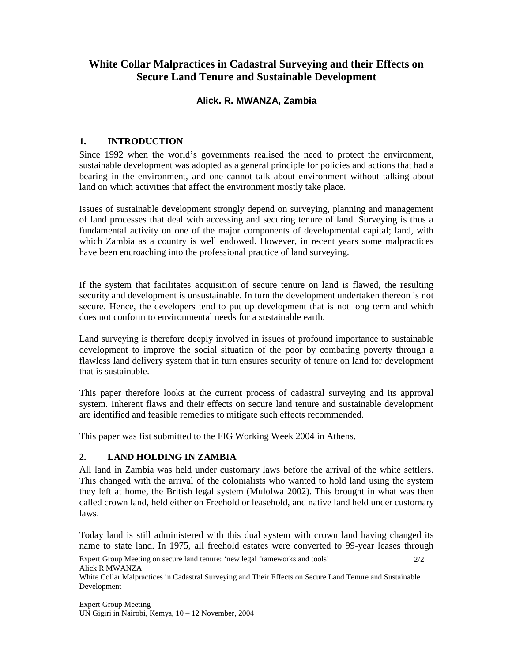# **White Collar Malpractices in Cadastral Surveying and their Effects on Secure Land Tenure and Sustainable Development**

## **Alick. R. MWANZA, Zambia**

### **1. INTRODUCTION**

Since 1992 when the world's governments realised the need to protect the environment, sustainable development was adopted as a general principle for policies and actions that had a bearing in the environment, and one cannot talk about environment without talking about land on which activities that affect the environment mostly take place.

Issues of sustainable development strongly depend on surveying, planning and management of land processes that deal with accessing and securing tenure of land. Surveying is thus a fundamental activity on one of the major components of developmental capital; land, with which Zambia as a country is well endowed. However, in recent years some malpractices have been encroaching into the professional practice of land surveying.

If the system that facilitates acquisition of secure tenure on land is flawed, the resulting security and development is unsustainable. In turn the development undertaken thereon is not secure. Hence, the developers tend to put up development that is not long term and which does not conform to environmental needs for a sustainable earth.

Land surveying is therefore deeply involved in issues of profound importance to sustainable development to improve the social situation of the poor by combating poverty through a flawless land delivery system that in turn ensures security of tenure on land for development that is sustainable.

This paper therefore looks at the current process of cadastral surveying and its approval system. Inherent flaws and their effects on secure land tenure and sustainable development are identified and feasible remedies to mitigate such effects recommended.

This paper was fist submitted to the FIG Working Week 2004 in Athens.

## **2. LAND HOLDING IN ZAMBIA**

All land in Zambia was held under customary laws before the arrival of the white settlers. This changed with the arrival of the colonialists who wanted to hold land using the system they left at home, the British legal system (Mulolwa 2002). This brought in what was then called crown land, held either on Freehold or leasehold, and native land held under customary laws.

Today land is still administered with this dual system with crown land having changed its name to state land. In 1975, all freehold estates were converted to 99-year leases through

Expert Group Meeting on secure land tenure: 'new legal frameworks and tools' Alick R MWANZA White Collar Malpractices in Cadastral Surveying and Their Effects on Secure Land Tenure and Sustainable Development  $2/2$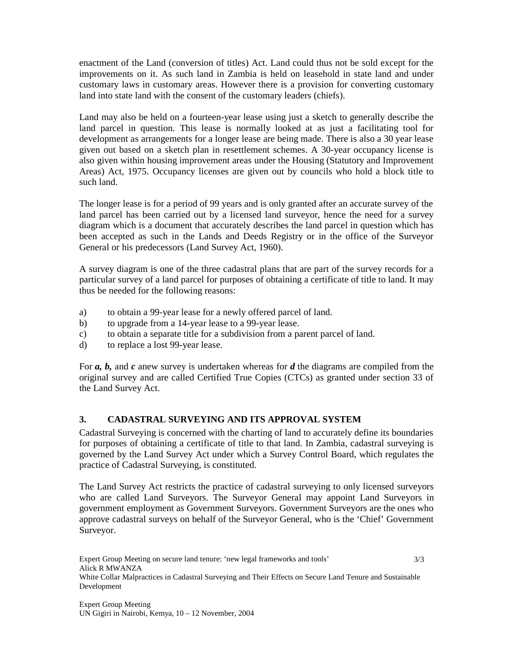enactment of the Land (conversion of titles) Act. Land could thus not be sold except for the improvements on it. As such land in Zambia is held on leasehold in state land and under customary laws in customary areas. However there is a provision for converting customary land into state land with the consent of the customary leaders (chiefs).

Land may also be held on a fourteen-year lease using just a sketch to generally describe the land parcel in question. This lease is normally looked at as just a facilitating tool for development as arrangements for a longer lease are being made. There is also a 30 year lease given out based on a sketch plan in resettlement schemes. A 30-year occupancy license is also given within housing improvement areas under the Housing (Statutory and Improvement Areas) Act, 1975. Occupancy licenses are given out by councils who hold a block title to such land.

The longer lease is for a period of 99 years and is only granted after an accurate survey of the land parcel has been carried out by a licensed land surveyor, hence the need for a survey diagram which is a document that accurately describes the land parcel in question which has been accepted as such in the Lands and Deeds Registry or in the office of the Surveyor General or his predecessors (Land Survey Act, 1960).

A survey diagram is one of the three cadastral plans that are part of the survey records for a particular survey of a land parcel for purposes of obtaining a certificate of title to land. It may thus be needed for the following reasons:

- a) to obtain a 99-year lease for a newly offered parcel of land.
- b) to upgrade from a 14-year lease to a 99-year lease.
- c) to obtain a separate title for a subdivision from a parent parcel of land.
- d) to replace a lost 99-year lease.

For *a, b,* and *c* anew survey is undertaken whereas for *d* the diagrams are compiled from the original survey and are called Certified True Copies (CTCs) as granted under section 33 of the Land Survey Act.

## **3. CADASTRAL SURVEYING AND ITS APPROVAL SYSTEM**

Cadastral Surveying is concerned with the charting of land to accurately define its boundaries for purposes of obtaining a certificate of title to that land. In Zambia, cadastral surveying is governed by the Land Survey Act under which a Survey Control Board, which regulates the practice of Cadastral Surveying, is constituted.

The Land Survey Act restricts the practice of cadastral surveying to only licensed surveyors who are called Land Surveyors. The Surveyor General may appoint Land Surveyors in government employment as Government Surveyors. Government Surveyors are the ones who approve cadastral surveys on behalf of the Surveyor General, who is the 'Chief' Government Surveyor.

Expert Group Meeting on secure land tenure: 'new legal frameworks and tools' Alick R MWANZA White Collar Malpractices in Cadastral Surveying and Their Effects on Secure Land Tenure and Sustainable Development 3/3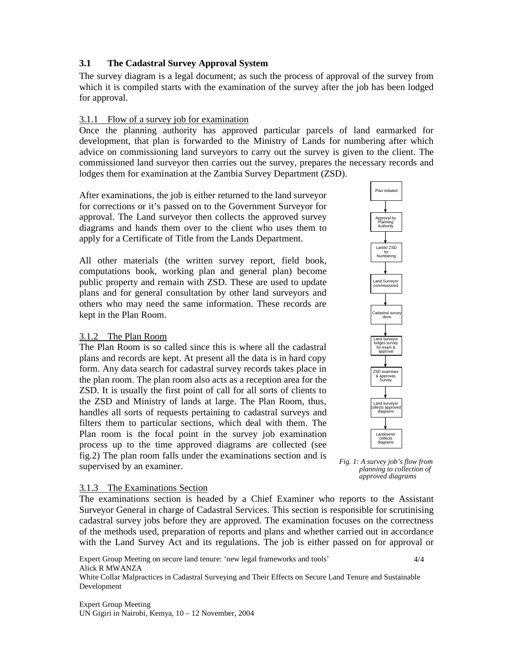### **3.1 The Cadastral Survey Approval System**

The survey diagram is a legal document; as such the process of approval of the survey from which it is compiled starts with the examination of the survey after the job has been lodged for approval.

### 3.1.1 Flow of a survey job for examination

Once the planning authority has approved particular parcels of land earmarked for development, that plan is forwarded to the Ministry of Lands for numbering after which advice on commissioning land surveyors to carry out the survey is given to the client. The commissioned land surveyor then carries out the survey, prepares the necessary records and lodges them for examination at the Zambia Survey Department (ZSD).

After examinations, the job is either returned to the land surveyor for corrections or it's passed on to the Government Surveyor for approval. The Land surveyor then collects the approved survey diagrams and hands them over to the client who uses them to apply for a Certificate of Title from the Lands Department.

All other materials (the written survey report, field book, computations book, working plan and general plan) become public property and remain with ZSD. These are used to update plans and for general consultation by other land surveyors and others who may need the same information. These records are kept in the Plan Room.

## 3.1.2 The Plan Room

The Plan Room is so called since this is where all the cadastral plans and records are kept. At present all the data is in hard copy form. Any data search for cadastral survey records takes place in the plan room. The plan room also acts as a reception area for the ZSD. It is usually the first point of call for all sorts of clients to the ZSD and Ministry of lands at large. The Plan Room, thus, handles all sorts of requests pertaining to cadastral surveys and filters them to particular sections, which deal with them. The Plan room is the focal point in the survey job examination process up to the time approved diagrams are collected (see fig.2) The plan room falls under the examinations section and is supervised by an examiner.



 *Fig. 1: A survey job's flow from planning to collection of approved diagrams*

#### 3.1.3 The Examinations Section

The examinations section is headed by a Chief Examiner who reports to the Assistant Surveyor General in charge of Cadastral Services. This section is responsible for scrutinising cadastral survey jobs before they are approved. The examination focuses on the correctness of the methods used, preparation of reports and plans and whether carried out in accordance with the Land Survey Act and its regulations. The job is either passed on for approval or

Expert Group Meeting on secure land tenure: 'new legal frameworks and tools' Alick R MWANZA White Collar Malpractices in Cadastral Surveying and Their Effects on Secure Land Tenure and Sustainable Development 4/4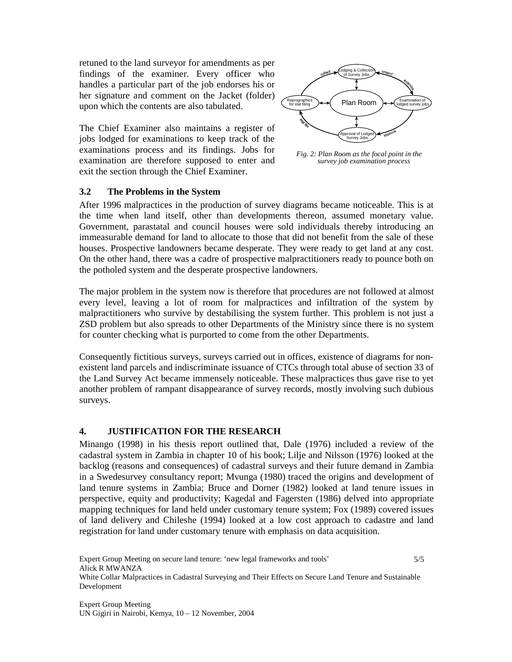retuned to the land surveyor for amendments as per findings of the examiner. Every officer who handles a particular part of the job endorses his or her signature and comment on the Jacket (folder) upon which the contents are also tabulated.

The Chief Examiner also maintains a register of jobs lodged for examinations to keep track of the examinations process and its findings. Jobs for examination are therefore supposed to enter and exit the section through the Chief Examiner.



 *Fig. 2: Plan Room as the focal point in the survey job examination process*

#### **3.2 The Problems in the System**

After 1996 malpractices in the production of survey diagrams became noticeable. This is at the time when land itself, other than developments thereon, assumed monetary value. Government, parastatal and council houses were sold individuals thereby introducing an immeasurable demand for land to allocate to those that did not benefit from the sale of these houses. Prospective landowners became desperate. They were ready to get land at any cost. On the other hand, there was a cadre of prospective malpractitioners ready to pounce both on the potholed system and the desperate prospective landowners.

The major problem in the system now is therefore that procedures are not followed at almost every level, leaving a lot of room for malpractices and infiltration of the system by malpractitioners who survive by destabilising the system further. This problem is not just a ZSD problem but also spreads to other Departments of the Ministry since there is no system for counter checking what is purported to come from the other Departments.

Consequently fictitious surveys, surveys carried out in offices, existence of diagrams for nonexistent land parcels and indiscriminate issuance of CTCs through total abuse of section 33 of the Land Survey Act became immensely noticeable. These malpractices thus gave rise to yet another problem of rampant disappearance of survey records, mostly involving such dubious surveys.

#### **4. JUSTIFICATION FOR THE RESEARCH**

Minango (1998) in his thesis report outlined that, Dale (1976) included a review of the cadastral system in Zambia in chapter 10 of his book; Lilje and Nilsson (1976) looked at the backlog (reasons and consequences) of cadastral surveys and their future demand in Zambia in a Swedesurvey consultancy report; Mvunga (1980) traced the origins and development of land tenure systems in Zambia; Bruce and Dorner (1982) looked at land tenure issues in perspective, equity and productivity; Kagedal and Fagersten (1986) delved into appropriate mapping techniques for land held under customary tenure system; Fox (1989) covered issues of land delivery and Chileshe (1994) looked at a low cost approach to cadastre and land registration for land under customary tenure with emphasis on data acquisition.

Expert Group Meeting on secure land tenure: 'new legal frameworks and tools' Alick R MWANZA White Collar Malpractices in Cadastral Surveying and Their Effects on Secure Land Tenure and Sustainable Development 5/5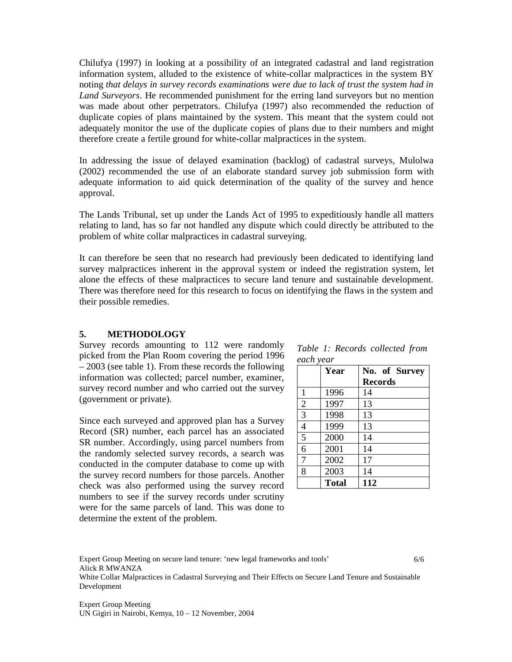Chilufya (1997) in looking at a possibility of an integrated cadastral and land registration information system, alluded to the existence of white-collar malpractices in the system BY noting *that delays in survey records examinations were due to lack of trust the system had in Land Surveyors*. He recommended punishment for the erring land surveyors but no mention was made about other perpetrators. Chilufya (1997) also recommended the reduction of duplicate copies of plans maintained by the system. This meant that the system could not adequately monitor the use of the duplicate copies of plans due to their numbers and might therefore create a fertile ground for white-collar malpractices in the system.

In addressing the issue of delayed examination (backlog) of cadastral surveys, Mulolwa (2002) recommended the use of an elaborate standard survey job submission form with adequate information to aid quick determination of the quality of the survey and hence approval.

The Lands Tribunal, set up under the Lands Act of 1995 to expeditiously handle all matters relating to land, has so far not handled any dispute which could directly be attributed to the problem of white collar malpractices in cadastral surveying.

It can therefore be seen that no research had previously been dedicated to identifying land survey malpractices inherent in the approval system or indeed the registration system, let alone the effects of these malpractices to secure land tenure and sustainable development. There was therefore need for this research to focus on identifying the flaws in the system and their possible remedies.

#### **5. METHODOLOGY**

Survey records amounting to 112 were randomly picked from the Plan Room covering the period 1996 – 2003 (see table 1). From these records the following information was collected; parcel number, examiner, survey record number and who carried out the survey (government or private).

Since each surveyed and approved plan has a Survey Record (SR) number, each parcel has an associated SR number. Accordingly, using parcel numbers from the randomly selected survey records, a search was conducted in the computer database to come up with the survey record numbers for those parcels. Another check was also performed using the survey record numbers to see if the survey records under scrutiny were for the same parcels of land. This was done to determine the extent of the problem.

*Table 1: Records collected from each year* 

|                | Year         | No. of Survey  |  |
|----------------|--------------|----------------|--|
|                |              | <b>Records</b> |  |
| 1              | 1996         | 14             |  |
| $\overline{2}$ | 1997         | 13             |  |
| 3              | 1998         | 13             |  |
| 4              | 1999         | 13             |  |
| 5              | 2000         | 14             |  |
| 6              | 2001         | 14             |  |
| 7              | 2002         | 17             |  |
| 8              | 2003         | 14             |  |
|                | <b>Total</b> | 112            |  |

Expert Group Meeting on secure land tenure: 'new legal frameworks and tools' Alick R MWANZA White Collar Malpractices in Cadastral Surveying and Their Effects on Secure Land Tenure and Sustainable Development 6/6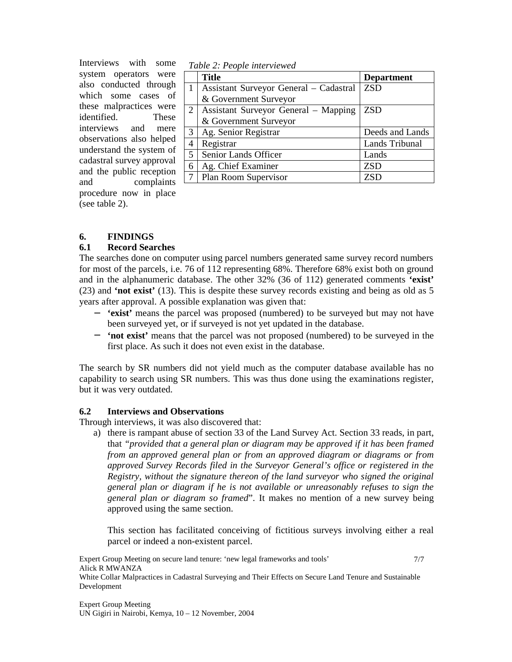Interviews with some system operators were also conducted through which some cases of these malpractices were identified. These interviews and mere observations also helped understand the system of cadastral survey approval and the public reception and complaints procedure now in place (see table 2).

| Table 2. I copie micriticived |                                          |                   |  |
|-------------------------------|------------------------------------------|-------------------|--|
|                               | <b>Title</b>                             | <b>Department</b> |  |
|                               | Assistant Surveyor General – Cadastral   | <b>ZSD</b>        |  |
|                               | & Government Surveyor                    |                   |  |
|                               | 2   Assistant Surveyor General – Mapping | <b>ZSD</b>        |  |
|                               | & Government Surveyor                    |                   |  |
| $\mathfrak{Z}$                | Ag. Senior Registrar                     | Deeds and Lands   |  |
| $\overline{4}$                | Registrar                                | Lands Tribunal    |  |
| $\overline{5}$                | Senior Lands Officer                     | Lands             |  |
| 6                             | Ag. Chief Examiner                       | <b>ZSD</b>        |  |
|                               | Plan Room Supervisor                     | ZSD               |  |

#### *Table 2: People interviewed*

## **6. FINDINGS**

### **6.1 Record Searches**

The searches done on computer using parcel numbers generated same survey record numbers for most of the parcels, i.e. 76 of 112 representing 68%. Therefore 68% exist both on ground and in the alphanumeric database. The other 32% (36 of 112) generated comments **'exist'** (23) and **'not exist'** (13). This is despite these survey records existing and being as old as 5 years after approval. A possible explanation was given that:

- − **'exist'** means the parcel was proposed (numbered) to be surveyed but may not have been surveyed yet, or if surveyed is not yet updated in the database.
- − **'not exist'** means that the parcel was not proposed (numbered) to be surveyed in the first place. As such it does not even exist in the database.

The search by SR numbers did not yield much as the computer database available has no capability to search using SR numbers. This was thus done using the examinations register, but it was very outdated.

#### **6.2 Interviews and Observations**

Through interviews, it was also discovered that:

a) there is rampant abuse of section 33 of the Land Survey Act. Section 33 reads, in part, that *"provided that a general plan or diagram may be approved if it has been framed from an approved general plan or from an approved diagram or diagrams or from approved Survey Records filed in the Surveyor General's office or registered in the Registry, without the signature thereon of the land surveyor who signed the original general plan or diagram if he is not available or unreasonably refuses to sign the general plan or diagram so framed*". It makes no mention of a new survey being approved using the same section.

This section has facilitated conceiving of fictitious surveys involving either a real parcel or indeed a non-existent parcel.

Expert Group Meeting on secure land tenure: 'new legal frameworks and tools' Alick R MWANZA White Collar Malpractices in Cadastral Surveying and Their Effects on Secure Land Tenure and Sustainable Development 7/7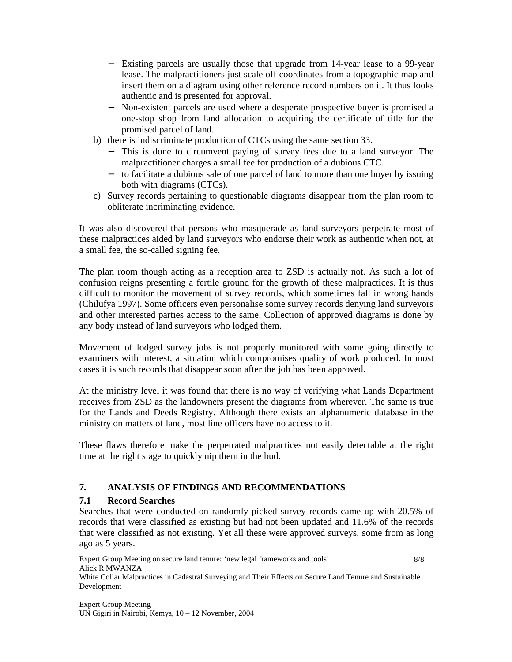- − Existing parcels are usually those that upgrade from 14-year lease to a 99-year lease. The malpractitioners just scale off coordinates from a topographic map and insert them on a diagram using other reference record numbers on it. It thus looks authentic and is presented for approval.
- − Non-existent parcels are used where a desperate prospective buyer is promised a one-stop shop from land allocation to acquiring the certificate of title for the promised parcel of land.
- b) there is indiscriminate production of CTCs using the same section 33.
	- − This is done to circumvent paying of survey fees due to a land surveyor. The malpractitioner charges a small fee for production of a dubious CTC.
	- − to facilitate a dubious sale of one parcel of land to more than one buyer by issuing both with diagrams (CTCs).
- c) Survey records pertaining to questionable diagrams disappear from the plan room to obliterate incriminating evidence.

It was also discovered that persons who masquerade as land surveyors perpetrate most of these malpractices aided by land surveyors who endorse their work as authentic when not, at a small fee, the so-called signing fee.

The plan room though acting as a reception area to ZSD is actually not. As such a lot of confusion reigns presenting a fertile ground for the growth of these malpractices. It is thus difficult to monitor the movement of survey records, which sometimes fall in wrong hands (Chilufya 1997). Some officers even personalise some survey records denying land surveyors and other interested parties access to the same. Collection of approved diagrams is done by any body instead of land surveyors who lodged them.

Movement of lodged survey jobs is not properly monitored with some going directly to examiners with interest, a situation which compromises quality of work produced. In most cases it is such records that disappear soon after the job has been approved.

At the ministry level it was found that there is no way of verifying what Lands Department receives from ZSD as the landowners present the diagrams from wherever. The same is true for the Lands and Deeds Registry. Although there exists an alphanumeric database in the ministry on matters of land, most line officers have no access to it.

These flaws therefore make the perpetrated malpractices not easily detectable at the right time at the right stage to quickly nip them in the bud.

# **7. ANALYSIS OF FINDINGS AND RECOMMENDATIONS**

## **7.1 Record Searches**

Searches that were conducted on randomly picked survey records came up with 20.5% of records that were classified as existing but had not been updated and 11.6% of the records that were classified as not existing. Yet all these were approved surveys, some from as long ago as 5 years.

Expert Group Meeting on secure land tenure: 'new legal frameworks and tools' Alick R MWANZA White Collar Malpractices in Cadastral Surveying and Their Effects on Secure Land Tenure and Sustainable Development 8/8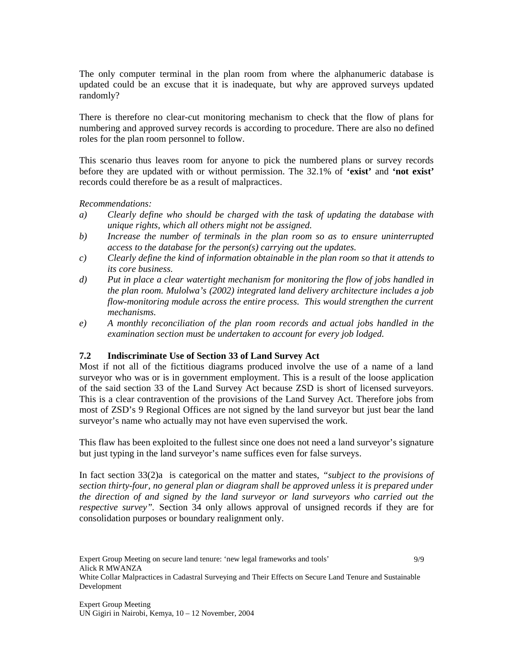The only computer terminal in the plan room from where the alphanumeric database is updated could be an excuse that it is inadequate, but why are approved surveys updated randomly?

There is therefore no clear-cut monitoring mechanism to check that the flow of plans for numbering and approved survey records is according to procedure. There are also no defined roles for the plan room personnel to follow.

This scenario thus leaves room for anyone to pick the numbered plans or survey records before they are updated with or without permission. The 32.1% of **'exist'** and **'not exist'** records could therefore be as a result of malpractices.

*Recommendations:* 

- *a) Clearly define who should be charged with the task of updating the database with unique rights, which all others might not be assigned.*
- *b) Increase the number of terminals in the plan room so as to ensure uninterrupted access to the database for the person(s) carrying out the updates.*
- *c) Clearly define the kind of information obtainable in the plan room so that it attends to its core business.*
- *d) Put in place a clear watertight mechanism for monitoring the flow of jobs handled in the plan room. Mulolwa's (2002) integrated land delivery architecture includes a job flow-monitoring module across the entire process. This would strengthen the current mechanisms.*
- *e) A monthly reconciliation of the plan room records and actual jobs handled in the examination section must be undertaken to account for every job lodged.*

#### **7.2 Indiscriminate Use of Section 33 of Land Survey Act**

Most if not all of the fictitious diagrams produced involve the use of a name of a land surveyor who was or is in government employment. This is a result of the loose application of the said section 33 of the Land Survey Act because ZSD is short of licensed surveyors. This is a clear contravention of the provisions of the Land Survey Act. Therefore jobs from most of ZSD's 9 Regional Offices are not signed by the land surveyor but just bear the land surveyor's name who actually may not have even supervised the work.

This flaw has been exploited to the fullest since one does not need a land surveyor's signature but just typing in the land surveyor's name suffices even for false surveys.

In fact section 33(2)a is categorical on the matter and states, *"subject to the provisions of section thirty-four, no general plan or diagram shall be approved unless it is prepared under the direction of and signed by the land surveyor or land surveyors who carried out the respective survey".* Section 34 only allows approval of unsigned records if they are for consolidation purposes or boundary realignment only.

Expert Group Meeting on secure land tenure: 'new legal frameworks and tools' Alick R MWANZA White Collar Malpractices in Cadastral Surveying and Their Effects on Secure Land Tenure and Sustainable Development 9/9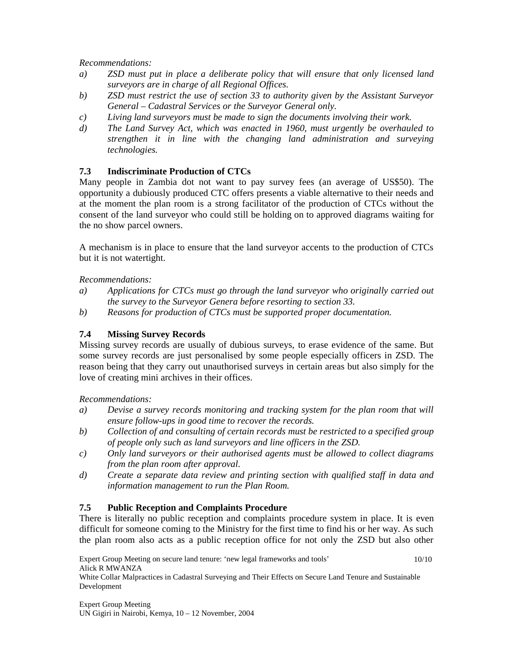*Recommendations:* 

- *a) ZSD must put in place a deliberate policy that will ensure that only licensed land surveyors are in charge of all Regional Offices.*
- *b) ZSD must restrict the use of section 33 to authority given by the Assistant Surveyor General – Cadastral Services or the Surveyor General only.*
- *c) Living land surveyors must be made to sign the documents involving their work.*
- *d) The Land Survey Act, which was enacted in 1960, must urgently be overhauled to strengthen it in line with the changing land administration and surveying technologies.*

## **7.3 Indiscriminate Production of CTCs**

Many people in Zambia dot not want to pay survey fees (an average of US\$50). The opportunity a dubiously produced CTC offers presents a viable alternative to their needs and at the moment the plan room is a strong facilitator of the production of CTCs without the consent of the land surveyor who could still be holding on to approved diagrams waiting for the no show parcel owners.

A mechanism is in place to ensure that the land surveyor accents to the production of CTCs but it is not watertight.

### *Recommendations:*

- *a) Applications for CTCs must go through the land surveyor who originally carried out the survey to the Surveyor Genera before resorting to section 33.*
- *b) Reasons for production of CTCs must be supported proper documentation.*

## **7.4 Missing Survey Records**

Missing survey records are usually of dubious surveys, to erase evidence of the same. But some survey records are just personalised by some people especially officers in ZSD. The reason being that they carry out unauthorised surveys in certain areas but also simply for the love of creating mini archives in their offices.

*Recommendations:* 

- *a) Devise a survey records monitoring and tracking system for the plan room that will ensure follow-ups in good time to recover the records.*
- *b) Collection of and consulting of certain records must be restricted to a specified group of people only such as land surveyors and line officers in the ZSD.*
- *c) Only land surveyors or their authorised agents must be allowed to collect diagrams from the plan room after approval.*
- *d) Create a separate data review and printing section with qualified staff in data and information management to run the Plan Room.*

## **7.5 Public Reception and Complaints Procedure**

There is literally no public reception and complaints procedure system in place. It is even difficult for someone coming to the Ministry for the first time to find his or her way. As such the plan room also acts as a public reception office for not only the ZSD but also other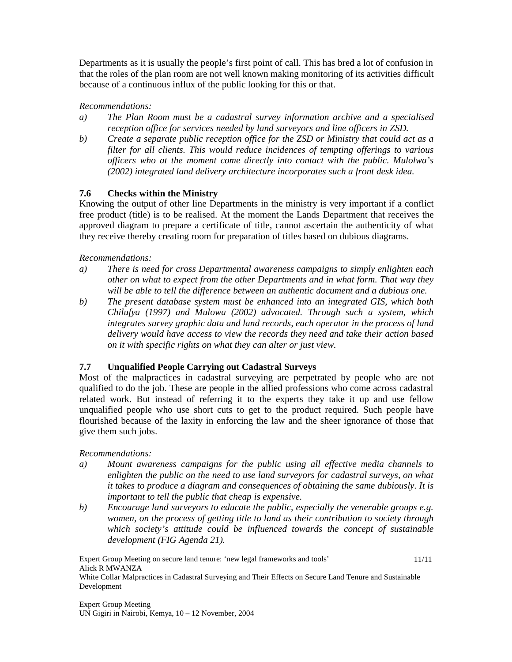Departments as it is usually the people's first point of call. This has bred a lot of confusion in that the roles of the plan room are not well known making monitoring of its activities difficult because of a continuous influx of the public looking for this or that.

### *Recommendations:*

- *a) The Plan Room must be a cadastral survey information archive and a specialised reception office for services needed by land surveyors and line officers in ZSD.*
- *b) Create a separate public reception office for the ZSD or Ministry that could act as a filter for all clients. This would reduce incidences of tempting offerings to various officers who at the moment come directly into contact with the public. Mulolwa's (2002) integrated land delivery architecture incorporates such a front desk idea.*

## **7.6 Checks within the Ministry**

Knowing the output of other line Departments in the ministry is very important if a conflict free product (title) is to be realised. At the moment the Lands Department that receives the approved diagram to prepare a certificate of title, cannot ascertain the authenticity of what they receive thereby creating room for preparation of titles based on dubious diagrams.

#### *Recommendations:*

- *a) There is need for cross Departmental awareness campaigns to simply enlighten each other on what to expect from the other Departments and in what form. That way they will be able to tell the difference between an authentic document and a dubious one.*
- *b) The present database system must be enhanced into an integrated GIS, which both Chilufya (1997) and Mulowa (2002) advocated. Through such a system, which integrates survey graphic data and land records, each operator in the process of land delivery would have access to view the records they need and take their action based on it with specific rights on what they can alter or just view.*

## **7.7 Unqualified People Carrying out Cadastral Surveys**

Most of the malpractices in cadastral surveying are perpetrated by people who are not qualified to do the job. These are people in the allied professions who come across cadastral related work. But instead of referring it to the experts they take it up and use fellow unqualified people who use short cuts to get to the product required. Such people have flourished because of the laxity in enforcing the law and the sheer ignorance of those that give them such jobs.

#### *Recommendations:*

- *a) Mount awareness campaigns for the public using all effective media channels to enlighten the public on the need to use land surveyors for cadastral surveys, on what it takes to produce a diagram and consequences of obtaining the same dubiously. It is important to tell the public that cheap is expensive.*
- *b) Encourage land surveyors to educate the public, especially the venerable groups e.g. women, on the process of getting title to land as their contribution to society through which society's attitude could be influenced towards the concept of sustainable development (FIG Agenda 21).*

Expert Group Meeting on secure land tenure: 'new legal frameworks and tools' Alick R MWANZA White Collar Malpractices in Cadastral Surveying and Their Effects on Secure Land Tenure and Sustainable Development 11/11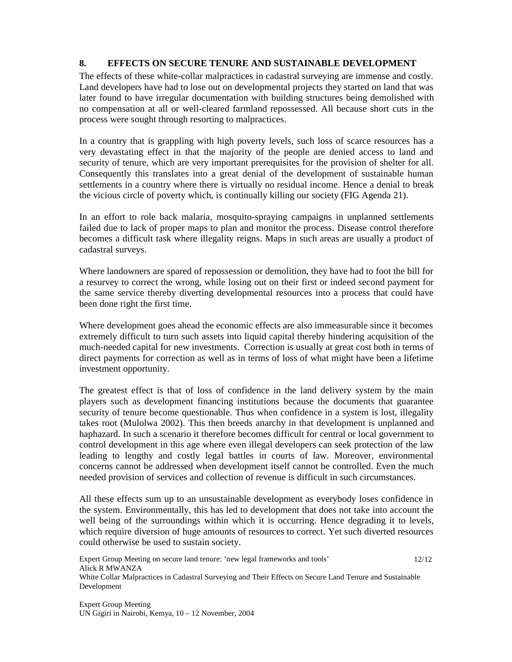### **8. EFFECTS ON SECURE TENURE AND SUSTAINABLE DEVELOPMENT**

The effects of these white-collar malpractices in cadastral surveying are immense and costly. Land developers have had to lose out on developmental projects they started on land that was later found to have irregular documentation with building structures being demolished with no compensation at all or well-cleared farmland repossessed. All because short cuts in the process were sought through resorting to malpractices.

In a country that is grappling with high poverty levels, such loss of scarce resources has a very devastating effect in that the majority of the people are denied access to land and security of tenure, which are very important prerequisites for the provision of shelter for all. Consequently this translates into a great denial of the development of sustainable human settlements in a country where there is virtually no residual income. Hence a denial to break the vicious circle of poverty which, is continually killing our society (FIG Agenda 21).

In an effort to role back malaria, mosquito-spraying campaigns in unplanned settlements failed due to lack of proper maps to plan and monitor the process. Disease control therefore becomes a difficult task where illegality reigns. Maps in such areas are usually a product of cadastral surveys.

Where landowners are spared of repossession or demolition, they have had to foot the bill for a resurvey to correct the wrong, while losing out on their first or indeed second payment for the same service thereby diverting developmental resources into a process that could have been done right the first time.

Where development goes ahead the economic effects are also immeasurable since it becomes extremely difficult to turn such assets into liquid capital thereby hindering acquisition of the much-needed capital for new investments. Correction is usually at great cost both in terms of direct payments for correction as well as in terms of loss of what might have been a lifetime investment opportunity.

The greatest effect is that of loss of confidence in the land delivery system by the main players such as development financing institutions because the documents that guarantee security of tenure become questionable. Thus when confidence in a system is lost, illegality takes root (Mulolwa 2002). This then breeds anarchy in that development is unplanned and haphazard. In such a scenario it therefore becomes difficult for central or local government to control development in this age where even illegal developers can seek protection of the law leading to lengthy and costly legal battles in courts of law. Moreover, environmental concerns cannot be addressed when development itself cannot be controlled. Even the much needed provision of services and collection of revenue is difficult in such circumstances.

All these effects sum up to an unsustainable development as everybody loses confidence in the system. Environmentally, this has led to development that does not take into account the well being of the surroundings within which it is occurring. Hence degrading it to levels, which require diversion of huge amounts of resources to correct. Yet such diverted resources could otherwise be used to sustain society.

Expert Group Meeting on secure land tenure: 'new legal frameworks and tools' Alick R MWANZA White Collar Malpractices in Cadastral Surveying and Their Effects on Secure Land Tenure and Sustainable Development 12/12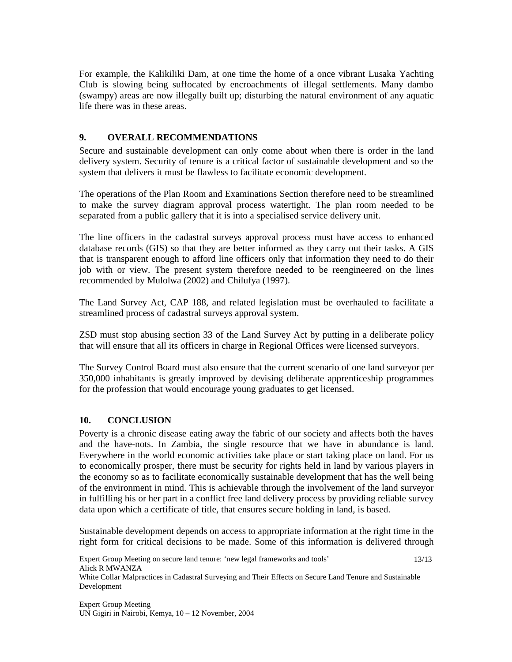For example, the Kalikiliki Dam, at one time the home of a once vibrant Lusaka Yachting Club is slowing being suffocated by encroachments of illegal settlements. Many dambo (swampy) areas are now illegally built up; disturbing the natural environment of any aquatic life there was in these areas.

## **9. OVERALL RECOMMENDATIONS**

Secure and sustainable development can only come about when there is order in the land delivery system. Security of tenure is a critical factor of sustainable development and so the system that delivers it must be flawless to facilitate economic development.

The operations of the Plan Room and Examinations Section therefore need to be streamlined to make the survey diagram approval process watertight. The plan room needed to be separated from a public gallery that it is into a specialised service delivery unit.

The line officers in the cadastral surveys approval process must have access to enhanced database records (GIS) so that they are better informed as they carry out their tasks. A GIS that is transparent enough to afford line officers only that information they need to do their job with or view. The present system therefore needed to be reengineered on the lines recommended by Mulolwa (2002) and Chilufya (1997).

The Land Survey Act, CAP 188, and related legislation must be overhauled to facilitate a streamlined process of cadastral surveys approval system.

ZSD must stop abusing section 33 of the Land Survey Act by putting in a deliberate policy that will ensure that all its officers in charge in Regional Offices were licensed surveyors.

The Survey Control Board must also ensure that the current scenario of one land surveyor per 350,000 inhabitants is greatly improved by devising deliberate apprenticeship programmes for the profession that would encourage young graduates to get licensed.

## **10. CONCLUSION**

Poverty is a chronic disease eating away the fabric of our society and affects both the haves and the have-nots. In Zambia, the single resource that we have in abundance is land. Everywhere in the world economic activities take place or start taking place on land. For us to economically prosper, there must be security for rights held in land by various players in the economy so as to facilitate economically sustainable development that has the well being of the environment in mind. This is achievable through the involvement of the land surveyor in fulfilling his or her part in a conflict free land delivery process by providing reliable survey data upon which a certificate of title, that ensures secure holding in land, is based.

Sustainable development depends on access to appropriate information at the right time in the right form for critical decisions to be made. Some of this information is delivered through

Expert Group Meeting on secure land tenure: 'new legal frameworks and tools' Alick R MWANZA White Collar Malpractices in Cadastral Surveying and Their Effects on Secure Land Tenure and Sustainable Development 13/13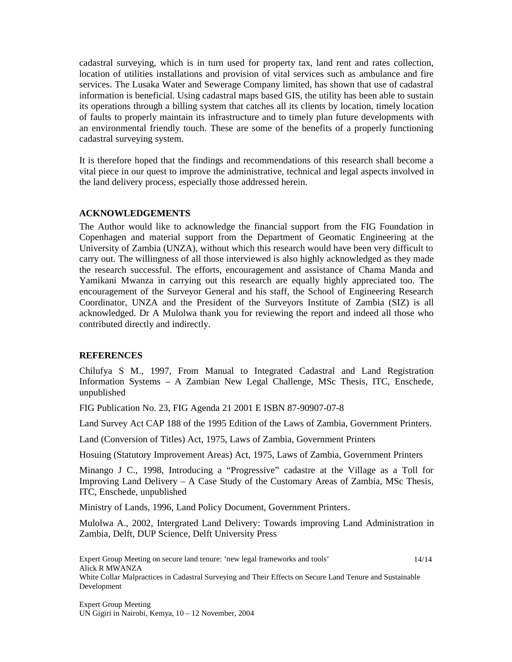cadastral surveying, which is in turn used for property tax, land rent and rates collection, location of utilities installations and provision of vital services such as ambulance and fire services. The Lusaka Water and Sewerage Company limited, has shown that use of cadastral information is beneficial. Using cadastral maps based GIS, the utility has been able to sustain its operations through a billing system that catches all its clients by location, timely location of faults to properly maintain its infrastructure and to timely plan future developments with an environmental friendly touch. These are some of the benefits of a properly functioning cadastral surveying system.

It is therefore hoped that the findings and recommendations of this research shall become a vital piece in our quest to improve the administrative, technical and legal aspects involved in the land delivery process, especially those addressed herein.

#### **ACKNOWLEDGEMENTS**

The Author would like to acknowledge the financial support from the FIG Foundation in Copenhagen and material support from the Department of Geomatic Engineering at the University of Zambia (UNZA), without which this research would have been very difficult to carry out. The willingness of all those interviewed is also highly acknowledged as they made the research successful. The efforts, encouragement and assistance of Chama Manda and Yamikani Mwanza in carrying out this research are equally highly appreciated too. The encouragement of the Surveyor General and his staff, the School of Engineering Research Coordinator, UNZA and the President of the Surveyors Institute of Zambia (SIZ) is all acknowledged. Dr A Mulolwa thank you for reviewing the report and indeed all those who contributed directly and indirectly.

#### **REFERENCES**

Chilufya S M., 1997, From Manual to Integrated Cadastral and Land Registration Information Systems – A Zambian New Legal Challenge, MSc Thesis, ITC, Enschede, unpublished

FIG Publication No. 23, FIG Agenda 21 2001 E ISBN 87-90907-07-8

Land Survey Act CAP 188 of the 1995 Edition of the Laws of Zambia, Government Printers.

Land (Conversion of Titles) Act, 1975, Laws of Zambia, Government Printers

Hosuing (Statutory Improvement Areas) Act, 1975, Laws of Zambia, Government Printers

Minango J C., 1998, Introducing a "Progressive" cadastre at the Village as a Toll for Improving Land Delivery – A Case Study of the Customary Areas of Zambia, MSc Thesis, ITC, Enschede, unpublished

Ministry of Lands, 1996, Land Policy Document, Government Printers.

Mulolwa A., 2002, Intergrated Land Delivery: Towards improving Land Administration in Zambia, Delft, DUP Science, Delft University Press

Expert Group Meeting on secure land tenure: 'new legal frameworks and tools' Alick R MWANZA White Collar Malpractices in Cadastral Surveying and Their Effects on Secure Land Tenure and Sustainable Development 14/14